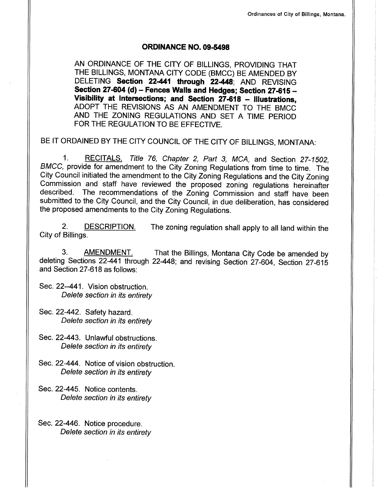#### oRD|NANCE NO.09-5498

AN ORDINANCE OF THE CITY OF BILLINGS, PROVIDING THAT THE BILLINGS, MONTANA CITY CODE (BMCC) BE AMENDED BY DELETING Section 22-441 through 22-448; AND REVISING Section 27-604 (d) - Fences Walls and Hedges; Section 27-615 -Visibility at Intersections; and Section  $27-618$  - Illustrations, ADOPT THE REVISIONS AS AN AMENDMENT TO THE BMCC AND THE ZONING REGULATIONS AND SET A TIME PERIOD FOR THE REGULATION TO BE EFFECTIVE.

BE IT ORDAINED BY THE CITY COUNCIL OF THE CITY OF BILLINGS, MONTANA:

1. RECITALS. Title 76, Chapter 2, Part 3, MCA, and Section 27-1502, BMCC, provide for amendment to the City Zoning Regulations from time to time. The City Council initiated the amendment to the City Zoning Regulations and the City Zoning Commission and staff have reviewed the proposed zoning regulations hereinafter described. The recommendations of the Zoning Commission and staff have been submitted to the City Council, and the City Council, in due deliberation, has considered the proposed amendments to the City Zoning Regulations.

2. DESCRIPTION. The zoning regulation shall apply to all land within the City of Billings.

3. AMENDMENT. That the Billings, Montana City Code be amended by deleting Sections 22441 through 22448; and revisíng Section 27-604, Section 27-615 and Section 27-618 as follows:

- Sec. 22-441. Vision obstruction. Delete section in its entirety
- Sec. 22-442. Safety hazard. Delete section in its entirety
- Sec. 22-443. Unlawful obstructions. Delete section in its entirety
- Sec.22-444. Notice of vision obstruction. Delete section in its entirety
- Sec. 22-445. Notice contents. Delete section in its entirety
- Sec. 22-446. Notice procedure. Delete section in its entirety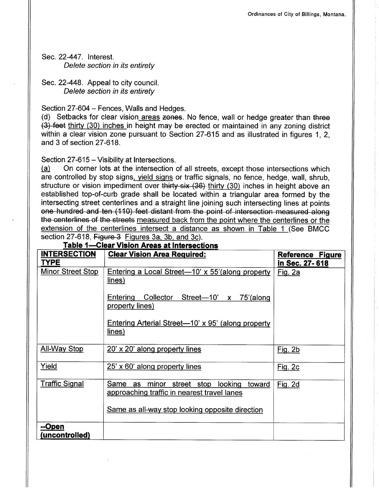Sec.22-447. Interest. Delete section in its entirety

Sec.22-448. Appeal to city council. Delete section in its entirety

Section 27-604 – Fences, Walls and Hedges.

(d) Setbacks for clear vision areas zones. No fence, wall or hedge greater than three (3)+eet thirtv (30) inches in height may be erected or maintained in any zoning district within a clear vision zone pursuant to Section 27-615 and as illustrated in figures 1, 2, and 3 of section 27-618.

Section 27-615 – Visibility at Intersections.<br>(a) On corner lots at the intersection of

On corner lots at the intersection of all streets, except those intersections which are controlled by stop signs, yield signs or traffic signals, no fence, hedge, wall, shrub, structure or vision impediment over thirty-six (36) thirty (30) inches in height above an established top-of-curb grade shall be located within a triangular area formed by the intersecting street centerlines and a straight line joining such intersecting lines at points ene hundred and ten (110) feet distant from the point of intersection measured along the eenterlines ef the streets measured back from the point where the centerlines or the extension of the centerlines intersect a distance as shown in Table 1 (See BMCC section 27-618, Figure  $3$  Figures 3a, 3b, and 3c).

| <b>INTERSECTION</b>                     | <b>Clear Vision Area Required:</b>                                                               | <b>Reference Figure</b>          |
|-----------------------------------------|--------------------------------------------------------------------------------------------------|----------------------------------|
| <b>TYPE</b><br><b>Minor Street Stop</b> | Entering a Local Street—10' x 55' (along property<br>lines)                                      | in Sec. 27-618<br><u>Fig. 2a</u> |
|                                         | Entering<br>Collector Street-10' x 75'(along<br>property lines)                                  |                                  |
|                                         | Entering Arterial Street—10' x 95' (along property<br>lines)                                     |                                  |
| <b>All-Way Stop</b>                     | 20' x 20' along property lines                                                                   | Fig. 2b                          |
| Yield                                   | 25' x 60' along property lines                                                                   | Fig. 2c                          |
| <b>Traffic Signal</b>                   | Same as<br>minor street stop<br>looking<br>toward<br>approaching traffic in nearest travel lanes | Fig. 2d                          |
|                                         | Same as all-way stop looking opposite direction                                                  |                                  |
| <u>--Open</u><br>(uncontrolled)         |                                                                                                  |                                  |

Table 1-Clear Vision Areas at Intersections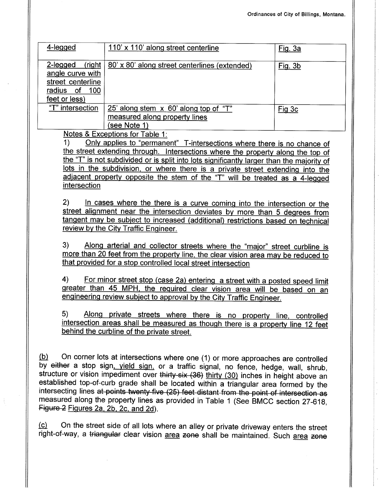| 4-legged                                                                                         | 110' x 110' along street centerline                                                                                                                              | Fig. 3a |
|--------------------------------------------------------------------------------------------------|------------------------------------------------------------------------------------------------------------------------------------------------------------------|---------|
| 2-legged<br>(right<br>angle curve with<br>street centerline<br>radius of<br>100<br>feet or less) | 80' x 80' along street centerlines (extended)                                                                                                                    | Fig. 3b |
| "T" intersection                                                                                 | 25' along stem x 60' along top of "T"<br>measured along property lines<br>(see Note 1)<br>$\mathbf{M}$ . The contract of $\mathbf{m}$ is the set of $\mathbf{m}$ | Fig 3c  |

Notes & Exceptions for Table 1:<br>1) Only applies to "permanent" T-intersections where there is no chance of the street extending through. Intersections where the property along the top of the "T" is not subdivided or is split into lots significantly larger than the majority of lots in the subdivision, or where there is a private street extending into the adjacent property opposite the stem of the "T" will be treated as a 4-legged intersection

2) In cases where the there is a curve coming into the intersection or the street alignment near the intersection deviates by more than 5 degrees from tanaent mav be subiect to increased (additional) restrictions based on technical review by the City Traffic Engineer.

3) Along arterial and collector streets where the "major" street curbline is more than 20 feet from the property line, the clear vision area may be reduced to that provided for a stop controlled local street intersection

4) For minor street stop (case 2a) entering a street with a posted speed limit greater than 45 MPH, the required clear vision area will be based on an engineering review subject to approval by the City Traffic Engineer.

Along private streets where there is no property line, controlled  $5)$ intersection areas shall be measured as though there is a property line 12 feet behind the curbline of the private street.

 $(b)$  On corner lots at intersections where one (1) or more approaches are controlled by either a stop sign, vield sign, or a traffic signal, no fence, hedge, wall, shrub, structure or vision impediment over thirty-six (36) thirty (30) inches in height above an established top-of-curb grade shall be located within a triangular area formed by the intersecting lines <del>at points twenty five (25) feet distant from the point of intersection as</del><br>measured\_along the property lines as provided in Table 1 (See BMCC section 27-618, intersecting lines at points twenty five (25) feet distant from the point of intersection as Figure 2 Figures 2a, 2b, 2c, and 2d).

(c) On the street side of all lots where an alley or private driveway enters the street right-of-way, a triangular clear vision area zone shall be maintained. Such area zone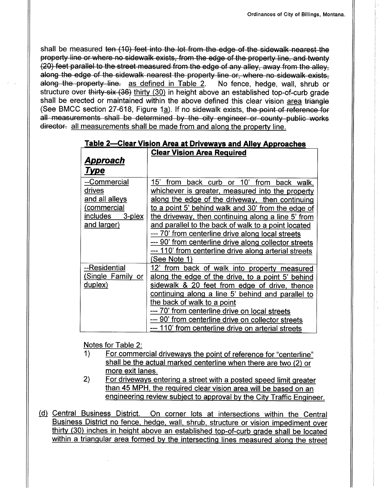shall be measured ten (10) feet into the lot from the edge of the sidewalk nearest the property line or where no sidewalk exists, from the edge of the property line, and twenty (20) feet parallel to the street measured from the edge of any alley, away from the alley, along the edge of the sidewalk nearest the property line or, where no sidewalk exists, along the property line. as defined in Table 2. No fence, hedge, wall, shrub or structure over thirty-six (36) thirty (30) in height above an established top-of-curb grade<br>shall be erected or maintained within the above defined this clear vision area triangle (See BMCC section 27-618, Figure 1a). If no sidewalk exists, the point of reference for all measurements shall be determined by the city engineer or county public works director. all measurements shall be made from and along the property line.

| <u>rable 2—Clear Vision Area at Driveways and Alley Approaches</u> |                                                             |  |  |
|--------------------------------------------------------------------|-------------------------------------------------------------|--|--|
|                                                                    | <b>Clear Vision Area Required</b>                           |  |  |
| <u>Approach</u>                                                    |                                                             |  |  |
| <u>Type</u>                                                        |                                                             |  |  |
| --Commercial                                                       | 15'<br>from<br>back curb<br>or 10'<br>from<br>back<br>walk, |  |  |
| drives                                                             | whichever is greater, measured into the property            |  |  |
| and all alleys                                                     | along the edge of the driveway, then continuing             |  |  |
| (commercial                                                        | to a point 5' behind walk and 30' from the edge of          |  |  |
| includes<br>3-plex                                                 | the driveway, then continuing along a line 5' from          |  |  |
| and larger)                                                        | and parallel to the back of walk to a point located         |  |  |
|                                                                    | --- 70' from centerline drive along local streets           |  |  |
|                                                                    | --- 90' from centerline drive along collector streets       |  |  |
|                                                                    | --- 110' from centerline drive along arterial streets       |  |  |
|                                                                    | See Note 1)                                                 |  |  |
| --Residential                                                      | from<br>back of walk into property measured<br>12'          |  |  |
| (Single Family or                                                  | along the edge of the drive, to a point 5' behind           |  |  |
| duplex)                                                            | sidewalk & 20 feet from edge of drive, thence               |  |  |
|                                                                    | continuing along a line 5' behind and parallel to           |  |  |
|                                                                    | the back of walk to a point                                 |  |  |
|                                                                    | --- 70' from centerline drive on local streets              |  |  |
|                                                                    | --- 90' from centerline drive on collector streets          |  |  |
|                                                                    | --- 110' from centerline drive on arterial streets          |  |  |

|  |  | <u> Fable 2—Clear Vision Area at Driveways and Alley Approaches</u> |
|--|--|---------------------------------------------------------------------|
|  |  |                                                                     |

- Notes for Table 2:<br>1) For commercial driveways the point of reference for "centerline" shall be the actual marked centerline when there are two (2) or more exit lanes.
- 2) For driveways entering a street with a posted speed limit greater than 45 MPH. the required clear vision area will be based on an engineering review subject to approval by the City Traffic Engineer.
- (d) Central Business District. On corner lots at intersections within the Central Business District no fence, hedqe, wall. shrub, structure or vision impediment over thirty (30) inches in height above an established top-of-curb grade shall be located within a triangular area formed by the intersecting lines measured along the street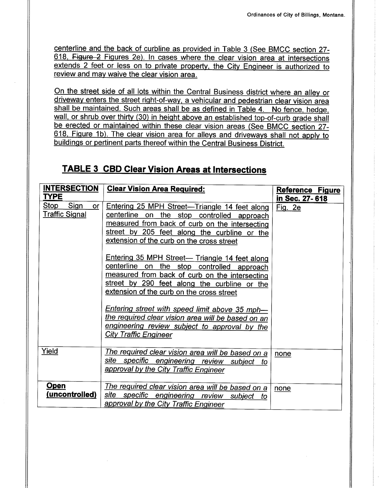centerline and the back of curbline as provided in Table 3 (See BMCC section 27- 618. Figure 2 Figures 2e). In cases where the clear vision area at intersections extends 2 feet or less on to private property, the City Engineer is authorized to review and may waive the clear vision area.

On the street side of all lots within the Central Business district where an alley or drivewav enters the street right-of-way, a vehicular and pedestrian clear vision area shall be maintained. Such areas shall be as defined in Table 4. No fence, hedoe, wall, or shrub over thirty (30) in height above an established top-of-curb grade shall be erected or maintained within these clear vision areas (See BMCC section 27- 618, Figure 1b). The clear vision area for alleys and driveways shall not apply to buildinqs or pertinent parts thereof within the Central Business District.

## TABLE 3 CBD Clear Vision Areas at Intersections

| <b>INTERSECTION</b><br><b>TYPE</b>                 | <b>Clear Vision Area Required:</b>                                                                                                                                                                                                                                                                                                                                                                                                                                                                                                                                                                                                                                                           | Reference Figure          |
|----------------------------------------------------|----------------------------------------------------------------------------------------------------------------------------------------------------------------------------------------------------------------------------------------------------------------------------------------------------------------------------------------------------------------------------------------------------------------------------------------------------------------------------------------------------------------------------------------------------------------------------------------------------------------------------------------------------------------------------------------------|---------------------------|
| <b>Stop</b><br>Sign<br>or<br><b>Traffic Signal</b> | Entering 25 MPH Street-Triangle 14 feet along<br>centerline on<br>the stop controlled approach<br>measured from back of curb on the intersecting<br>street by 205 feet along the curbline or the<br>extension of the curb on the cross street<br>Entering 35 MPH Street- Triangle 14 feet along<br>centerline on the stop controlled approach<br>measured from back of curb on the intersecting<br>street by 290 feet along the curbline or the<br>extension of the curb on the cross street<br><u>Entering street with speed limit above 35 mph—</u><br><u>the required clear vision area will be based on an</u><br>engineering review subject to approval by the<br>City Traffic Engineer | in Sec. 27-618<br>Fig. 2e |
| Yield                                              | <u>The required clear vision area will be based on a</u><br>site specific engineering review subject<br>to<br>approval by the City Traffic Engineer                                                                                                                                                                                                                                                                                                                                                                                                                                                                                                                                          | none                      |
| <b>Open</b><br>(uncontrolled)                      | The required clear vision area will be based on a<br>site specific engineering review subject<br>to<br>approval by the City Traffic Engineer                                                                                                                                                                                                                                                                                                                                                                                                                                                                                                                                                 | none                      |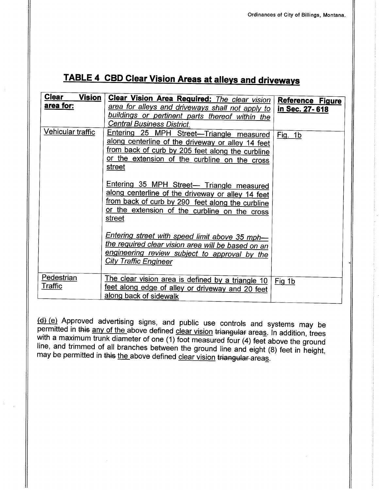# **TABLE 4 CBD Clear Vision Areas at alleys and driveways**

| <b>Clear</b><br><b>Vision</b> | <b>Clear Vision Area Required:</b> The clear vision                                                                                                                                                                                     | <b>Reference Figure</b> |
|-------------------------------|-----------------------------------------------------------------------------------------------------------------------------------------------------------------------------------------------------------------------------------------|-------------------------|
| <u>area for:</u>              | area for alleys and driveways shall not apply to<br>buildings or pertinent parts thereof within the                                                                                                                                     | in Sec. 27-618          |
| Vehicular traffic             | <b>Central Business District.</b><br>Entering 25 MPH Street-Triangle measured<br>along centerline of the driveway or alley 14 feet<br>from back of curb by 205 feet along the curbline<br>or the extension of the curbline on the cross | Fig. 1b                 |
|                               | street<br>Entering 35 MPH Street- Triangle measured<br>along centerline of the driveway or alley 14 feet<br>from back of curb by 290 feet along the curbline<br>or the extension of the curbline on the cross<br>street                 |                         |
|                               | Entering street with speed limit above 35 mph-<br>the required clear vision area will be based on an<br>engineering review subject to approval by the<br><b>City Traffic Engineer</b>                                                   |                         |
| Pedestrian<br><b>Traffic</b>  | The clear vision area is defined by a triangle 10<br>feet along edge of alley or driveway and 20 feet<br>along back of sidewalk                                                                                                         | Fig 1b                  |

(d) (e) Approved advertising signs, and public use controls and systems may be permitted in this any of the above defined clear vision triangular areas. In addition, trees with a maximum trunk diameter of one  $(1)$  foot measured four  $(4)$  feet above the ground line, and trimmed of all branches between the ground line and eight (8) feet in height, may be permitted in this the above defined clear vision triangular areas.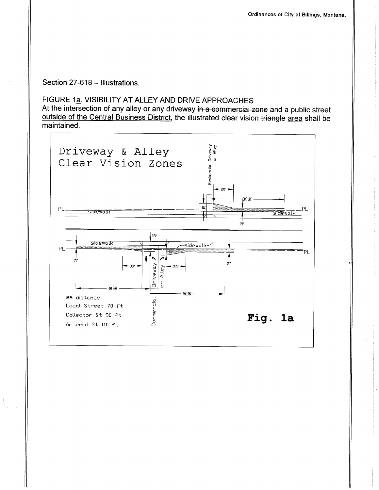Section 27-618 - Illustrations.

### FIGURE 1a. VISIBILITY AT ALLEY AND DRIVE APPROACHES

At the intersection of any alley or any driveway in a commercial zone and a public street outside of the Central Business District, the illustrated clear vision triangle area shall be maintained.

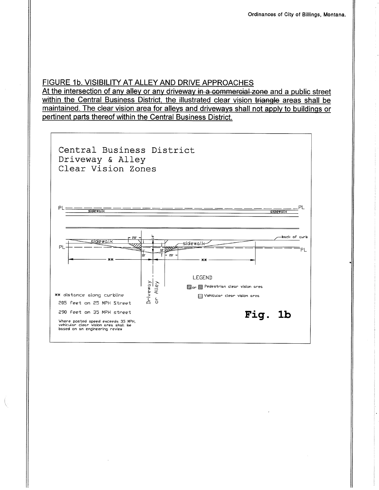#### FIGURE 1b. VISIBILITY AT ALLEY AND DRIVE APPROACHES

At the intersection of any alley or any driveway in a commercial zone and a public street within the Central Business District, the illustrated clear vision triangle areas shall be maintained. The clear vision area for alleys and driveways shall not apply to buildings or pertinent parts thereof within the Central Business District.

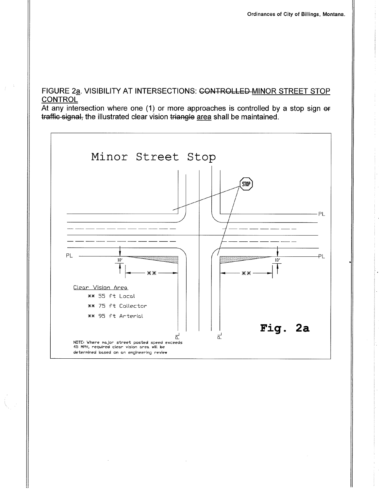#### FIGURE 2a. VISIBILITY AT INTERSECTIONS: CONTROLLED-MINOR STREET STOP CONTROL

At any intersection where one (1) or more approaches is controlled by a stop sign or traffic signal, the illustrated clear vision triangle area shall be maintained.

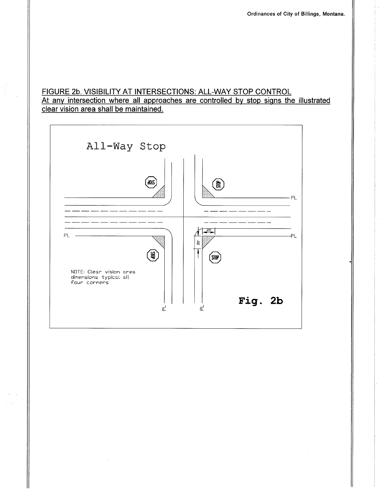#### FIGURE 2b. VlSlBlLlTY AT INTERSECTIONS: ALL-WAY STOP CONTROL At anv intersection where all approaches are controlled by stop siqns the illustrated clear vision area shall be maintained.

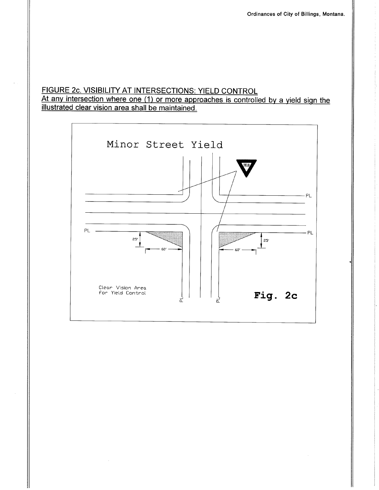# FIGURE 2c. VISIBILITY AT INTERSECTIONS: YIELD CONTROL<br>At any intersection where one (1) or more approaches is controlled by a yield sign the illustrated clear vision area shall be maintained.

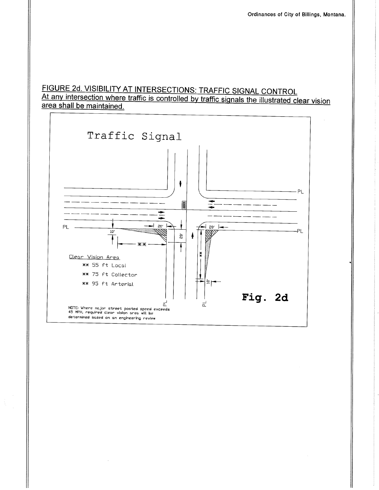### FIGURE 2d. VISIBILITY AT INTERSECTIONS: TRAFFIC SIGNAL CONTROL At any intersection where traffic is controlled by traffic signals the illustrated clear vision area shall be maintained.

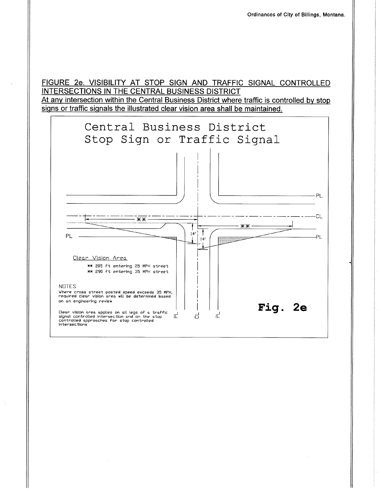FIGURE 2e. VISIBILITY AT STOP SIGN AND TRAFFIC SIGNAL CONTROLLED INTERSECTIONS IN THE CENTRAL BUSINESS DISTRICT At any intersection within the Central Business District where traffic is controlled by stop signs or traffic signals the illustrated clear vision area shall be maintained.

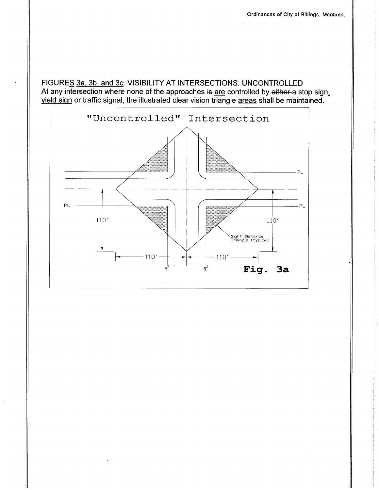FIGURES 3a, 3b, and 3c. VISIBILITY AT INTERSECTIONS: UNCONTROLLED At any intersection where none of the approaches is are controlled by either a stop sign, yield sign or traffic signal, the illustrated clear vision triangle areas shall be maintained.

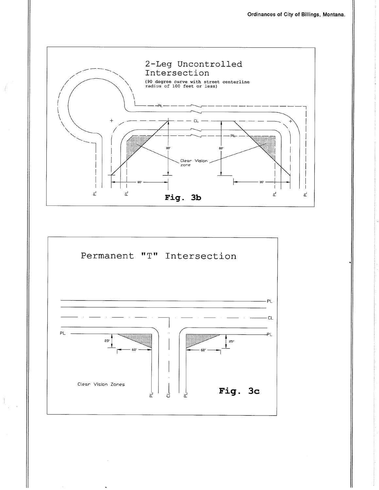